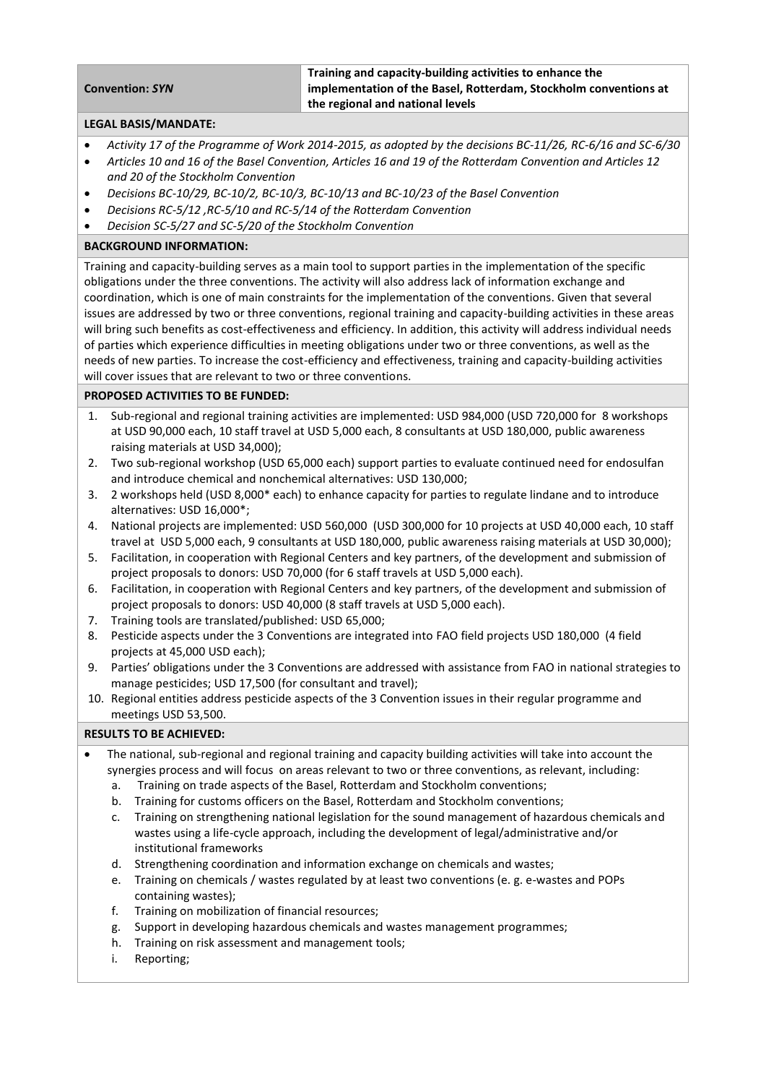### **Convention:** *SYN*

**Training and capacity-building activities to enhance the implementation of the Basel, Rotterdam, Stockholm conventions at the regional and national levels**

#### **LEGAL BASIS/MANDATE:**

- *Activity 17 of the Programme of Work 2014-2015, as adopted by the decisions BC-11/26, RC-6/16 and SC-6/30*
- *Articles 10 and 16 of the Basel Convention, Articles 16 and 19 of the Rotterdam Convention and Articles 12 and 20 of the Stockholm Convention*
- *Decisions BC-10/29, BC-10/2, BC-10/3, BC-10/13 and BC-10/23 of the Basel Convention*
- *Decisions RC-5/12 ,RC-5/10 and RC-5/14 of the Rotterdam Convention*
- *Decision SC-5/27 and SC-5/20 of the Stockholm Convention*

# **BACKGROUND INFORMATION:**

Training and capacity-building serves as a main tool to support parties in the implementation of the specific obligations under the three conventions. The activity will also address lack of information exchange and coordination, which is one of main constraints for the implementation of the conventions. Given that several issues are addressed by two or three conventions, regional training and capacity-building activities in these areas will bring such benefits as cost-effectiveness and efficiency. In addition, this activity will address individual needs of parties which experience difficulties in meeting obligations under two or three conventions, as well as the needs of new parties. To increase the cost-efficiency and effectiveness, training and capacity-building activities will cover issues that are relevant to two or three conventions.

## **PROPOSED ACTIVITIES TO BE FUNDED:**

- 1. Sub-regional and regional training activities are implemented: USD 984,000 (USD 720,000 for 8 workshops at USD 90,000 each, 10 staff travel at USD 5,000 each, 8 consultants at USD 180,000, public awareness raising materials at USD 34,000);
- 2. Two sub-regional workshop (USD 65,000 each) support parties to evaluate continued need for endosulfan and introduce chemical and nonchemical alternatives: USD 130,000;
- 3. 2 workshops held (USD 8,000\* each) to enhance capacity for parties to regulate lindane and to introduce alternatives: USD 16,000\*;
- 4. National projects are implemented: USD 560,000 (USD 300,000 for 10 projects at USD 40,000 each, 10 staff travel at USD 5,000 each, 9 consultants at USD 180,000, public awareness raising materials at USD 30,000);
- 5. Facilitation, in cooperation with Regional Centers and key partners, of the development and submission of project proposals to donors: USD 70,000 (for 6 staff travels at USD 5,000 each).
- 6. Facilitation, in cooperation with Regional Centers and key partners, of the development and submission of project proposals to donors: USD 40,000 (8 staff travels at USD 5,000 each).
- 7. Training tools are translated/published: USD 65,000;
- 8. Pesticide aspects under the 3 Conventions are integrated into FAO field projects USD 180,000 (4 field projects at 45,000 USD each);
- 9. Parties' obligations under the 3 Conventions are addressed with assistance from FAO in national strategies to manage pesticides; USD 17,500 (for consultant and travel);
- 10. Regional entities address pesticide aspects of the 3 Convention issues in their regular programme and meetings USD 53,500.

## **RESULTS TO BE ACHIEVED:**

- The national, sub-regional and regional training and capacity building activities will take into account the synergies process and will focus on areas relevant to two or three conventions, as relevant, including:
	- a. Training on trade aspects of the Basel, Rotterdam and Stockholm conventions;
	- b. Training for customs officers on the Basel, Rotterdam and Stockholm conventions;
	- c. Training on strengthening national legislation for the sound management of hazardous chemicals and wastes using a life-cycle approach, including the development of legal/administrative and/or institutional frameworks
	- d. Strengthening coordination and information exchange on chemicals and wastes;
	- e. Training on chemicals / wastes regulated by at least two conventions (e. g. e-wastes and POPs containing wastes);
	- f. Training on mobilization of financial resources;
	- g. Support in developing hazardous chemicals and wastes management programmes;
	- h. Training on risk assessment and management tools;
	- i. Reporting;